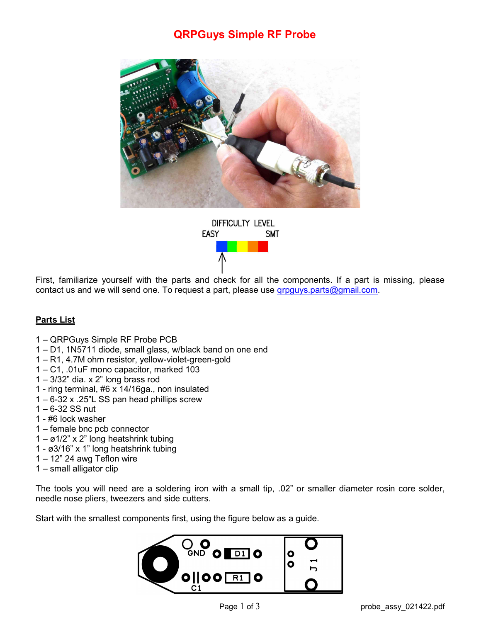# QRPGuys Simple RF Probe



DIFFICULTY LEVEL **EASY SMT** 

First, familiarize yourself with the parts and check for all the components. If a part is missing, please contact us and we will send one. To request a part, please use groguys parts@gmail.com.

## Parts List

- 1 QRPGuys Simple RF Probe PCB
- 1 D1, 1N5711 diode, small glass, w/black band on one end
- 1 R1, 4.7M ohm resistor, yellow-violet-green-gold
- 1 C1, .01uF mono capacitor, marked 103
- 1 3/32" dia. x 2" long brass rod
- 1 ring terminal, #6 x 14/16ga., non insulated
- 1 6-32 x .25"L SS pan head phillips screw
- $1 6 32$  SS nut
- 1 #6 lock washer
- 1 female bnc pcb connector
- $1 \varrho$ 1/2" x 2" long heatshrink tubing
- 1 ø3/16" x 1" long heatshrink tubing
- $1 12$ " 24 awg Teflon wire
- 1 small alligator clip

The tools you will need are a soldering iron with a small tip, .02" or smaller diameter rosin core solder, needle nose pliers, tweezers and side cutters.

Start with the smallest components first, using the figure below as a guide.

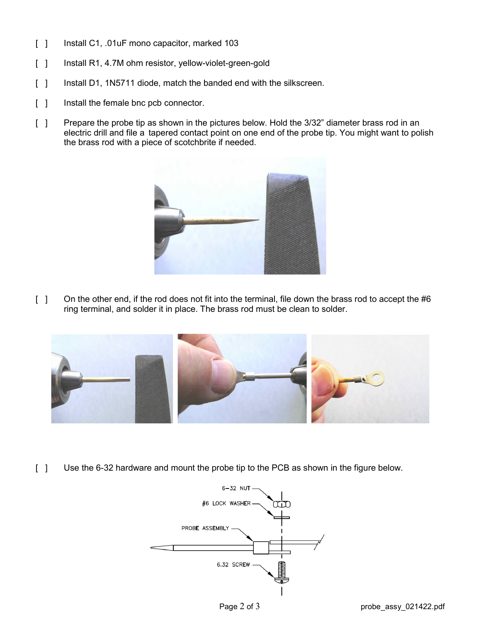- [ ] Install C1, .01uF mono capacitor, marked 103
- [ ] Install R1, 4.7M ohm resistor, yellow-violet-green-gold
- [ ] Install D1, 1N5711 diode, match the banded end with the silkscreen.
- [ ] Install the female bnc pcb connector.
- [ ] Prepare the probe tip as shown in the pictures below. Hold the 3/32" diameter brass rod in an electric drill and file a tapered contact point on one end of the probe tip. You might want to polish the brass rod with a piece of scotchbrite if needed.



[ ] On the other end, if the rod does not fit into the terminal, file down the brass rod to accept the #6 ring terminal, and solder it in place. The brass rod must be clean to solder.



[ ] Use the 6-32 hardware and mount the probe tip to the PCB as shown in the figure below.